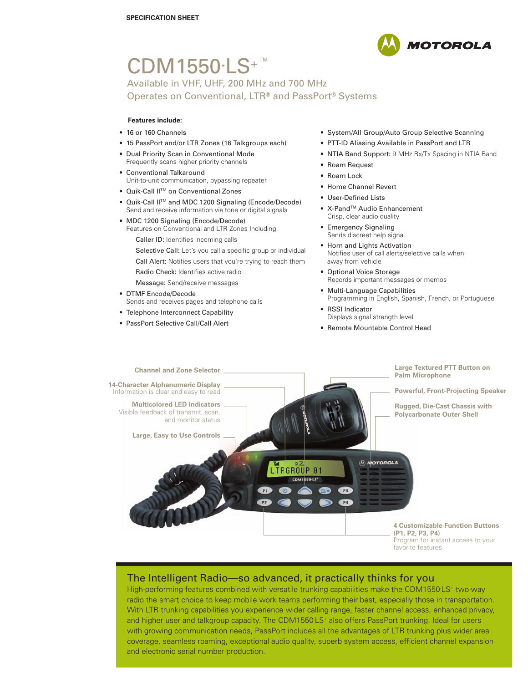

# CDM1550<sup>.</sup>LS<sup>+™</sup>

Available in VHF, UHF, 200 MHz and 700 MHz Operates on Conventional, LTR® and PassPort® Systems

#### **Features include:**

- 16 or 160 Channels
- 15 PassPort and/or LTR Zones (16 Talkgroups each)
- Dual Priority Scan in Conventional Mode Frequently scans higher priority channels
- Conventional Talkaround Unit-to-unit communication, bypassing repeater
- Quik-Call II<sup>™</sup> on Conventional Zones
- Quik-Call IITM and MDC 1200 Signaling (Encode/Decode) Send and receive information via tone or digital signals
- MDC 1200 Signaling (Encode/Decode) Features on Conventional and LTR Zones Including:
	- Caller ID: Identifies incoming calls

Selective Call: Let's you call a specific group or individual Call Alert: Notifies users that you're trying to reach them Radio Check: Identifies active radio

- Message: Send/receive messages • DTMF Encode/Decode Sends and receives pages and telephone calls
- Telephone Interconnect Capability
- PassPort Selective Call/Call Alert
- System/All Group/Auto Group Selective Scanning
- PTT-ID Aliasing Available in PassPort and LTR
- NTIA Band Support: 9 MHz Rx/Tx Spacing in NTIA Band
- Roam Request
- Roam Lock
- Home Channel Revert
- User-Defined Lists
- X-Pand<sup>™</sup> Audio Enhancement Crisp, clear audio quality
- Emergency Signaling Sends discreet help signal
- Horn and Lights Activation Notifies user of call alerts/selective calls when away from vehicle
- Optional Voice Storage Records important messages or memos
- Multi-Language Capabilities Programming in English, Spanish, French, or Portuguese
- **RSSI** Indicator Displays signal strength level
- Remote Mountable Control Head



## The Intelligent Radio—so advanced, it practically thinks for you

High-performing features combined with versatile trunking capabilities make the CDM1550<sup>.</sup>LS<sup>+</sup> two-way radio the smart choice to keep mobile work teams performing their best, especially those in transportation. With LTR trunking capabilities you experience wider calling range, faster channel access, enhanced privacy, and higher user and talkgroup capacity. The CDM1550<sup>.</sup>LS<sup>+</sup> also offers PassPort trunking. Ideal for users with growing communication needs, PassPort includes all the advantages of LTR trunking plus wider area coverage, seamless roaming, exceptional audio quality, superb system access, efficient channel expansion and electronic serial number production.